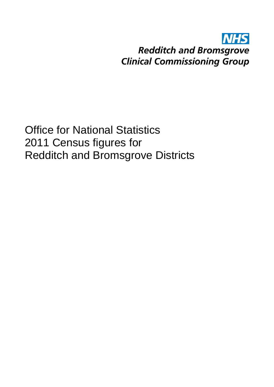#### **NHS Redditch and Bromsgrove Clinical Commissioning Group**

Office for National Statistics 2011 Census figures for Redditch and Bromsgrove Districts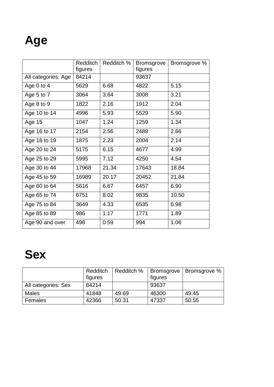# **Age**

|                     | <b>Redditch</b><br>figures | Redditch % | <b>Bromsgrove</b><br>figures | Bromsgrove % |
|---------------------|----------------------------|------------|------------------------------|--------------|
| All categories: Age | 84214                      |            | 93637                        |              |
| Age 0 to 4          | 5629                       | 6.68       | 4822                         | 5.15         |
| Age $5$ to $7$      | 3064                       | 3.64       | 3008                         | 3.21         |
| Age 8 to 9          | 1822                       | 2.16       | 1912                         | 2.04         |
| Age 10 to 14        | 4996                       | 5.93       | 5529                         | 5.90         |
| Age 15              | 1047                       | 1.24       | 1259                         | 1.34         |
| Age 16 to 17        | 2154                       | 2.56       | 2489                         | 2.66         |
| Age 18 to 19        | 1875                       | 2.23       | 2004                         | 2.14         |
| Age 20 to 24        | 5175                       | 6.15       | 4677                         | 4.99         |
| Age 25 to 29        | 5995                       | 7.12       | 4250                         | 4.54         |
| Age 30 to 44        | 17968                      | 21.34      | 17643                        | 18.84        |
| Age 45 to 59        | 16989                      | 20.17      | 20452                        | 21.84        |
| Age 60 to 64        | 5616                       | 6.67       | 6457                         | 6.90         |
| Age 65 to 74        | 6751                       | 8.02       | 9835                         | 10.50        |
| Age 75 to 84        | 3649                       | 4.33       | 6535                         | 6.98         |
| Age 85 to 89        | 986                        | 1.17       | 1771                         | 1.89         |
| Age 90 and over     | 498                        | 0.59       | 994                          | 1.06         |

#### **Sex**

|                     | Redditch<br>figures | Redditch % | figures | Bromsgrove   Bromsgrove % |
|---------------------|---------------------|------------|---------|---------------------------|
| All categories: Sex | 84214               |            | 93637   |                           |
| <b>Males</b>        | 41848               | 49.69      | 46300   | 49.45                     |
| Females             | 42366               | 50.31      | 47337   | 50.55                     |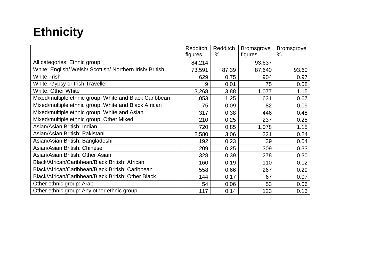### **Ethnicity**

|                                                          | <b>Redditch</b> | Redditch | <b>Bromsgrove</b> | <b>Bromsgrove</b> |
|----------------------------------------------------------|-----------------|----------|-------------------|-------------------|
|                                                          | figures         | $\%$     | figures           | $\%$              |
| All categories: Ethnic group                             | 84,214          |          | 93,637            |                   |
| White: English/ Welsh/ Scottish/ Northern Irish/ British | 73,591          | 87.39    | 87,640            | 93.60             |
| White: Irish                                             | 629             | 0.75     | 904               | 0.97              |
| White: Gypsy or Irish Traveller                          | 9               | 0.01     | 75                | 0.08              |
| <b>White: Other White</b>                                | 3,268           | 3.88     | 1,077             | 1.15              |
| Mixed/multiple ethnic group: White and Black Caribbean   | 1,053           | 1.25     | 631               | 0.67              |
| Mixed/multiple ethnic group: White and Black African     | 75              | 0.09     | 82                | 0.09              |
| Mixed/multiple ethnic group: White and Asian             | 317             | 0.38     | 446               | 0.48              |
| Mixed/multiple ethnic group: Other Mixed                 | 210             | 0.25     | 237               | 0.25              |
| Asian/Asian British: Indian                              | 720             | 0.85     | 1,078             | 1.15              |
| Asian/Asian British: Pakistani                           | 2,580           | 3.06     | 221               | 0.24              |
| Asian/Asian British: Bangladeshi                         | 192             | 0.23     | 39                | 0.04              |
| Asian/Asian British: Chinese                             | 209             | 0.25     | 309               | 0.33              |
| Asian/Asian British: Other Asian                         | 328             | 0.39     | 278               | 0.30              |
| Black/African/Caribbean/Black British: African           | 160             | 0.19     | 110               | 0.12              |
| Black/African/Caribbean/Black British: Caribbean         | 558             | 0.66     | 267               | 0.29              |
| Black/African/Caribbean/Black British: Other Black       | 144             | 0.17     | 67                | 0.07              |
| Other ethnic group: Arab                                 | 54              | 0.06     | 53                | 0.06              |
| Other ethnic group: Any other ethnic group               | 117             | 0.14     | 123               | 0.13              |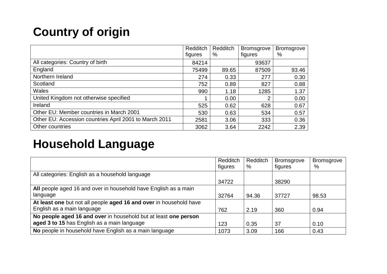### **Country of origin**

|                                                        | Redditch | Redditch | <b>Bromsgrove</b> | <b>Bromsgrove</b> |
|--------------------------------------------------------|----------|----------|-------------------|-------------------|
|                                                        | figures  | %        | figures           | %                 |
| All categories: Country of birth                       | 84214    |          | 93637             |                   |
| England                                                | 75499    | 89.65    | 87509             | 93.46             |
| Northern Ireland                                       | 274      | 0.33     | 277               | 0.30              |
| Scotland                                               | 752      | 0.89     | 827               | 0.88              |
| <b>Wales</b>                                           | 990      | 1.18     | 1285              | 1.37              |
| United Kingdom not otherwise specified                 |          | 0.00     | າ                 | 0.00              |
| Ireland                                                | 525      | 0.62     | 628               | 0.67              |
| Other EU: Member countries in March 2001               | 530      | 0.63     | 534               | 0.57              |
| Other EU: Accession countries April 2001 to March 2011 | 2581     | 3.06     | 333               | 0.36              |
| Other countries                                        | 3062     | 3.64     | 2242              | 2.39              |

#### **Household Language**

|                                                                    | <b>Redditch</b><br>figures | Redditch<br>% | <b>Bromsgrove</b><br>figures | <b>Bromsgrove</b><br>$\%$ |
|--------------------------------------------------------------------|----------------------------|---------------|------------------------------|---------------------------|
| All categories: English as a household language                    |                            |               |                              |                           |
|                                                                    | 34722                      |               | 38290                        |                           |
| All people aged 16 and over in household have English as a main    |                            |               |                              |                           |
| language                                                           | 32764                      | 94.36         | 37727                        | 98.53                     |
| At least one but not all people aged 16 and over in household have |                            |               |                              |                           |
| English as a main language                                         | 762                        | 2.19          | 360                          | 0.94                      |
| No people aged 16 and over in household but at least one person    |                            |               |                              |                           |
| aged 3 to 15 has English as a main language                        | 123                        | 0.35          | 37                           | 0.10                      |
| No people in household have English as a main language             | 1073                       | 3.09          | 166                          | 0.43                      |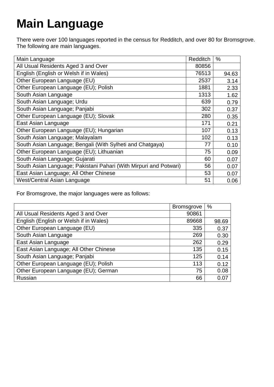# **Main Language**

There were over 100 languages reported in the census for Redditch, and over 80 for Bromsgrove. The following are main languages.

| Main Language                                                     | <b>Redditch</b> | $\%$  |
|-------------------------------------------------------------------|-----------------|-------|
| All Usual Residents Aged 3 and Over                               | 80856           |       |
| English (English or Welsh if in Wales)                            | 76513           | 94.63 |
| Other European Language (EU)                                      | 2537            | 3.14  |
| Other European Language (EU); Polish                              | 1881            | 2.33  |
| South Asian Language                                              | 1313            | 1.62  |
| South Asian Language; Urdu                                        | 639             | 0.79  |
| South Asian Language; Panjabi                                     | 302             | 0.37  |
| Other European Language (EU); Slovak                              | 280             | 0.35  |
| East Asian Language                                               | 171             | 0.21  |
| Other European Language (EU); Hungarian                           | 107             | 0.13  |
| South Asian Language; Malayalam                                   | 102             | 0.13  |
| South Asian Language; Bengali (With Sylheti and Chatgaya)         | 77              | 0.10  |
| Other European Language (EU); Lithuanian                          | 75              | 0.09  |
| South Asian Language; Gujarati                                    | 60              | 0.07  |
| South Asian Language; Pakistani Pahari (With Mirpuri and Potwari) | 56              | 0.07  |
| East Asian Language; All Other Chinese                            | 53              | 0.07  |
| West/Central Asian Language                                       | 51              | 0.06  |

For Bromsgrove, the major languages were as follows:

|                                        | <b>Bromsgrove</b> | %     |
|----------------------------------------|-------------------|-------|
| All Usual Residents Aged 3 and Over    | 90861             |       |
| English (English or Welsh if in Wales) | 89668             | 98.69 |
| Other European Language (EU)           | 335               | 0.37  |
| South Asian Language                   | 269               | 0.30  |
| East Asian Language                    | 262               | 0.29  |
| East Asian Language; All Other Chinese | 135               | 0.15  |
| South Asian Language; Panjabi          | 125               | 0.14  |
| Other European Language (EU); Polish   | 113               | 0.12  |
| Other European Language (EU); German   | 75                | 0.08  |
| <b>Russian</b>                         | 66                | 0.07  |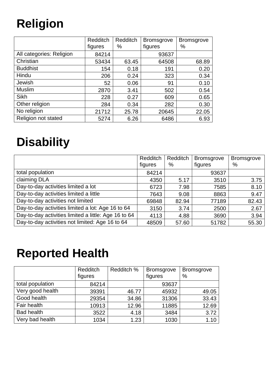# **Religion**

|                            | <b>Redditch</b><br>figures | Redditch<br>% | <b>Bromsgrove</b><br>figures | <b>Bromsgrove</b><br>% |
|----------------------------|----------------------------|---------------|------------------------------|------------------------|
| All categories: Religion   | 84214                      |               | 93637                        |                        |
| Christian                  | 53434                      | 63.45         | 64508                        | 68.89                  |
| <b>Buddhist</b>            | 154                        | 0.18          | 191                          | 0.20                   |
| Hindu                      | 206                        | 0.24          | 323                          | 0.34                   |
| Jewish                     | 52                         | 0.06          | 91                           | 0.10                   |
| <b>Muslim</b>              | 2870                       | 3.41          | 502                          | 0.54                   |
| Sikh                       | 228                        | 0.27          | 609                          | 0.65                   |
| Other religion             | 284                        | 0.34          | 282                          | 0.30                   |
| No religion                | 21712                      | 25.78         | 20645                        | 22.05                  |
| <b>Religion not stated</b> | 5274                       | 6.26          | 6486                         | 6.93                   |

### **Disability**

|                                                      | Redditch | Redditch | <b>Bromsgrove</b> | <b>Bromsgrove</b> |
|------------------------------------------------------|----------|----------|-------------------|-------------------|
|                                                      | figures  | %        | figures           | $\%$              |
| total population                                     | 84214    |          | 93637             |                   |
| claiming DLA                                         | 4350     | 5.17     | 3510              | 3.75              |
| Day-to-day activities limited a lot                  | 6723     | 7.98     | 7585              | 8.10              |
| Day-to-day activities limited a little               | 7643     | 9.08     | 8863              | 9.47              |
| Day-to-day activities not limited                    | 69848    | 82.94    | 77189             | 82.43             |
| Day-to-day activities limited a lot: Age 16 to 64    | 3150     | 3.74     | 2500              | 2.67              |
| Day-to-day activities limited a little: Age 16 to 64 | 4113     | 4.88     | 3690              | 3.94              |
| Day-to-day activities not limited: Age 16 to 64      | 48509    | 57.60    | 51782             | 55.30             |

# **Reported Health**

|                   | Redditch | Redditch % | <b>Bromsgrove</b> | <b>Bromsgrove</b> |
|-------------------|----------|------------|-------------------|-------------------|
|                   | figures  |            | figures           | $\%$              |
| total population  | 84214    |            | 93637             |                   |
| Very good health  | 39391    | 46.77      | 45932             | 49.05             |
| Good health       | 29354    | 34.86      | 31306             | 33.43             |
| Fair health       | 10913    | 12.96      | 11885             | 12.69             |
| <b>Bad health</b> | 3522     | 4.18       | 3484              | 3.72              |
| Very bad health   | 1034     | 1.23       | 1030              | 1.10              |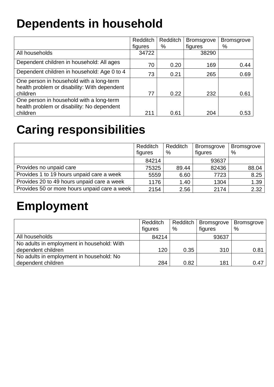# **Dependents in household**

|                                              | Redditch | Redditch | <b>Bromsgrove</b> | <b>Bromsgrove</b> |
|----------------------------------------------|----------|----------|-------------------|-------------------|
|                                              | figures  | %        | figures           | %                 |
| All households                               | 34722    |          | 38290             |                   |
| Dependent children in household: All ages    | 70       | 0.20     | 169               | 0.44              |
| Dependent children in household: Age 0 to 4  | 73       | 0.21     | 265               | 0.69              |
| One person in household with a long-term     |          |          |                   |                   |
| health problem or disability: With dependent |          |          |                   |                   |
| children                                     | 77       | 0.22     | 232               | 0.61              |
| One person in household with a long-term     |          |          |                   |                   |
| health problem or disability: No dependent   |          |          |                   |                   |
| children                                     | 211      | 0.61     | 204               | 0.53              |

### **Caring responsibilities**

|                                              | Redditch<br>figures | Redditch<br>% | <b>Bromsgrove</b><br>figures | <b>Bromsgrove</b><br>$\%$ |
|----------------------------------------------|---------------------|---------------|------------------------------|---------------------------|
|                                              | 84214               |               | 93637                        |                           |
| Provides no unpaid care                      | 75325               | 89.44         | 82436                        | 88.04                     |
| Provides 1 to 19 hours unpaid care a week    | 5559                | 6.60          | 7723                         | 8.25                      |
| Provides 20 to 49 hours unpaid care a week   | 1176                | 1.40          | 1304                         | 1.39                      |
| Provides 50 or more hours unpaid care a week | 2154                | 2.56          | 2174                         | 2.32                      |

### **Employment**

|                                            | Redditch | Redditch | <b>Bromsgrove</b> | <b>Bromsgrove</b> |
|--------------------------------------------|----------|----------|-------------------|-------------------|
|                                            | figures  | $\%$     | figures           | $\%$              |
| All households                             | 84214    |          | 93637             |                   |
| No adults in employment in household: With |          |          |                   |                   |
| dependent children                         | 120      | 0.35     | 310               | 0.81              |
| No adults in employment in household: No   |          |          |                   |                   |
| dependent children                         | 284      | 0.82     | 181               | 0.47              |